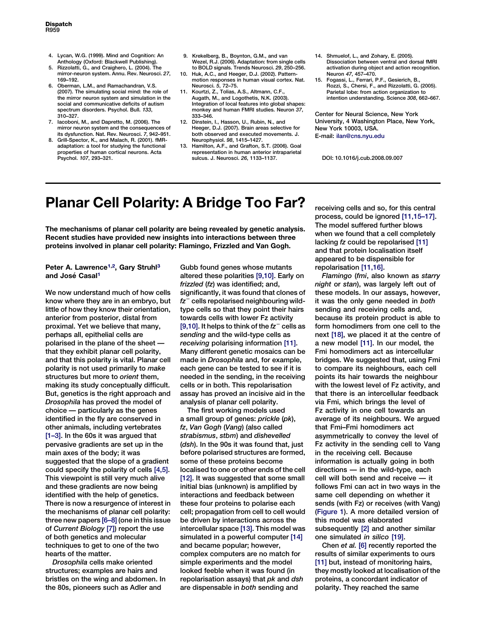- 4. Lycan, W.G. (1999). Mind and Cognition: An Anthology (Oxford: Blackwell Publishing).
- 5. Rizzolatti, G., and Craighero, L. (2004). The mirror-neuron system. Annu. Rev. Neurosci. 27, 169–192.
- 6. Oberman, L.M., and Ramachandran, V.S. (2007). The simulating social mind: the role of the mirror neuron system and simulation in the social and communicative deficits of autism spectrum disorders. Psychol. Bull. 133, 310–327.
- 7. Iacoboni, M., and Dapretto, M. (2006). The mirror neuron system and the consequences of its dysfunction. Nat. Rev. Neurosci. 7, 942–951.
- 8. Grill-Spector, K., and Malach, R. (2001). fMRadaptation: a tool for studying the functional properties of human cortical neurons. Acta Psychol. 107, 293–321.
- 9. Krekelberg, B., Boynton, G.M., and van Wezel, R.J. (2006). Adaptation: from single cells to BOLD signals. Trends Neurosci. 29, 250–256.
- 10. Huk, A.C., and Heeger, D.J. (2002). Patternmotion responses in human visual cortex. Nat. Neurosci. 5, 72–75.
- 11. Kourtzi, Z., Tolias, A.S., Altmann, C.F., Augath, M., and Logothetis, N.K. (2003). Integration of local features into global shapes: monkey and human FMRI studies. Neuron 37, 333–346.
- 12. Dinstein, I., Hasson, U., Rubin, N., and Heeger, D.J. (2007). Brain areas selective for both observed and executed movements. J. Neurophysiol. 98, 1415–1427.
- 13. Hamilton, A.F., and Grafton, S.T. (2006). Goal representation in human anterior intraparietal sulcus. J. Neurosci. 26, 1133–1137.
- 14. Shmuelof, L., and Zohary, E. (2005). Dissociation between ventral and dorsal fMRI activation during object and action recognition. Neuron 47, 457–470.
- 15. Fogassi, L., Ferrari, P.F., Gesierich, B., Rozzi, S., Chersi, F., and Rizzolatti, G. (2005). Parietal lobe: from action organization to intention understanding. Science 308, 662–667.

Center for Neural Science, New York University, 4 Washington Place, New York, New York 10003, USA. E-mail: ilan@cns.nyu.edu

DOI: 10.1016/j.cub.2008.09.007

## Planar Cell Polarity: A Bridge Too Far?

The mechanisms of planar cell polarity are being revealed by genetic analysis. Recent studies have provided new insights into interactions between three proteins involved in planar cell polarity: Flamingo, Frizzled and Van Gogh.

## Peter A. Lawrence<sup>1,2</sup>, Gary Struhl<sup>3</sup> and José Casal<sup>1</sup>

We now understand much of how cells know where they are in an embryo, but little of how they know their orientation, anterior from posterior, distal from proximal. Yet we believe that many, perhaps all, epithelial cells are polarised in the plane of the sheet that they exhibit planar cell polarity, and that this polarity is vital. Planar cell polarity is not used primarily to make structures but more to orient them, making its study conceptually difficult. But, genetics is the right approach and Drosophila has proved the model of choice — particularly as the genes identified in the fly are conserved in other animals, including vertebrates [\[1–3\].](#page-1-0) In the 60s it was argued that pervasive gradients are set up in the main axes of the body; it was suggested that the slope of a gradient could specify the polarity of cells [\[4,5\].](#page-1-0) This viewpoint is still very much alive and these gradients are now being identified with the help of genetics. There is now a resurgence of interest in the mechanisms of planar cell polarity: three new papers [\[6–8\]](#page-1-0) (one in this issue of Current Biology [\[7\]](#page-1-0)) report the use of both genetics and molecular techniques to get to one of the two hearts of the matter.

Drosophila cells make oriented structures; examples are hairs and bristles on the wing and abdomen. In the 80s, pioneers such as Adler and

Gubb found genes whose mutants altered these polarities [\[9,10\].](#page-1-0) Early on frizzled (fz) was identified; and, significantly, it was found that clones of  $fz^-$  cells repolarised neighbouring wildtype cells so that they point their hairs towards cells with lower Fz activity [\[9,10\].](#page-1-0) It helps to think of the  $fz^-$  cells as sending and the wild-type cells as receiving polarising information [\[11\]](#page-1-0). Many different genetic mosaics can be made in Drosophila and, for example, each gene can be tested to see if it is needed in the sending, in the receiving cells or in both. This repolarisation assay has proved an incisive aid in the analysis of planar cell polarity.

The first working models used a small group of genes: prickle (pk), fz, Van Gogh (Vang) (also called strabismus, stbm) and dishevelled (dsh). In the 90s it was found that, just before polarised structures are formed, some of these proteins become localised to one or other ends of the cell [\[12\].](#page-1-0) It was suggested that some small initial bias (unknown) is amplified by interactions and feedback between these four proteins to polarise each cell; propagation from cell to cell would be driven by interactions across the intercellular space [\[13\]](#page-1-0). This model was simulated in a powerful computer [\[14\]](#page-1-0) and became popular; however, complex computers are no match for simple experiments and the model looked feeble when it was found (in repolarisation assays) that *pk* and dsh are dispensable in both sending and

receiving cells and so, for this central process, could be ignored [\[11,15–17\].](#page-1-0) The model suffered further blows when we found that a cell completely lacking fz could be repolarised [\[11\]](#page-1-0) and that protein localisation itself appeared to be dispensible for repolarisation [\[11,16\]](#page-1-0).

Flamingo (fmi, also known as starry night or stan), was largely left out of these models. In our assays, however, it was the only gene needed in both sending and receiving cells and, because its protein product is able to form homodimers from one cell to the next [\[18\]](#page-2-0), we placed it at the centre of a new model [\[11\]](#page-1-0). In our model, the Fmi homodimers act as intercellular bridges. We suggested that, using Fmi to compare its neighbours, each cell points its hair towards the neighbour with the lowest level of Fz activity, and that there is an intercellular feedback via Fmi, which brings the level of Fz activity in one cell towards an average of its neighbours. We argued that Fmi–Fmi homodimers act asymmetrically to convey the level of Fz activity in the sending cell to Vang in the receiving cell. Because information is actually going in both directions — in the wild-type, each cell will both send and receive — it follows Fmi can act in two ways in the same cell depending on whether it sends (with Fz) or receives (with Vang) ([Figure 1](#page-1-0)). A more detailed version of this model was elaborated subsequently [\[2\]](#page-1-0) and another similar one simulated in silico [\[19\]](#page-2-0).

Chen et al. [\[6\]](#page-1-0) recently reported the results of similar experiments to ours [\[11\]](#page-1-0) but, instead of monitoring hairs, they mostly looked at localisation of the proteins, a concordant indicator of polarity. They reached the same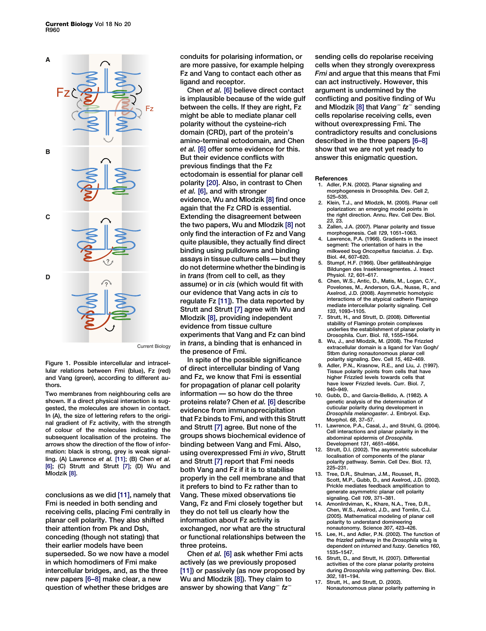<span id="page-1-0"></span>

Current Biology

Figure 1. Possible intercellular and intracellular relations between Fmi (blue), Fz (red) and Vang (green), according to different authors.

Two membranes from neighbouring cells are shown. If a direct physical interaction is suggested, the molecules are shown in contact. In (A), the size of lettering refers to the original gradient of Fz activity, with the strength of colour of the molecules indicating the subsequent localisation of the proteins. The arrows show the direction of the flow of information: black is strong, grey is weak signalling. (A) Lawrence et al. [11]; (B) Chen et al. [6]; (C) Strutt and Strutt [7]; (D) Wu and Mlodzik [8].

conclusions as we did [11], namely that Fmi is needed in both sending and receiving cells, placing Fmi centrally in planar cell polarity. They also shifted their attention from Pk and Dsh, conceding (though not stating) that their earlier models have been superseded. So we now have a model in which homodimers of Fmi make intercellular bridges, and, as the three new papers [6–8] make clear, a new question of whether these bridges are

conduits for polarising information, or are more passive, for example helping Fz and Vang to contact each other as ligand and receptor.

Chen et al. [6] believe direct contact is implausible because of the wide gulf between the cells. If they are right, Fz might be able to mediate planar cell polarity without the cysteine-rich domain (CRD), part of the protein's amino-terminal ectodomain, and Chen et al. [6] offer some evidence for this. But their evidence conflicts with previous findings that the Fz ectodomain is essential for planar cell polarity [\[20\].](#page-2-0) Also, in contrast to Chen et al. [6], and with stronger evidence, Wu and Mlodzik [8] find once again that the Fz CRD is essential. Extending the disagreement between the two papers, Wu and Mlodzik [8] not only find the interaction of Fz and Vang quite plausible, they actually find direct binding using pulldowns and binding assays in tissue culture cells — but they do not determine whether the binding is in trans (from cell to cell, as they assume) or in cis (which would fit with our evidence that Vang acts in cis to regulate Fz [11]). The data reported by Strutt and Strutt [7] agree with Wu and Mlodzik [8], providing independent evidence from tissue culture experiments that Vang and Fz can bind in trans, a binding that is enhanced in the presence of Fmi.

In spite of the possible significance of direct intercellular binding of Vang and Fz, we know that Fmi is essential for propagation of planar cell polarity information — so how do the three proteins relate? Chen et al. [6] describe evidence from immunoprecipitation that Fz binds to Fmi, and with this Strutt and Strutt [7] agree. But none of the groups shows biochemical evidence of binding between Vang and Fmi. Also, using overexpressed Fmi in vivo, Strutt and Strutt [7] report that Fmi needs both Vang and Fz if it is to stabilise properly in the cell membrane and that it prefers to bind to Fz rather than to Vang. These mixed observations tie Vang, Fz and Fmi closely together but they do not tell us clearly how the information about Fz activity is exchanged, nor what are the structural or functional relationships between the three proteins.

Chen et al. [6] ask whether Fmi acts actively (as we previously proposed [11]) or passively (as now proposed by Wu and Mlodzik [8]). They claim to answer by showing that Vang<sup>-</sup>  $tz^-$ 

sending cells do repolarise receiving cells when they strongly overexpress Fmi and argue that this means that Fmi can act instructively. However, this argument is undermined by the conflicting and positive finding of Wu and Mlodzik [8] that  $Vang^-$  fz<sup>-</sup> sending cells repolarise receiving cells, even without overexpressing Fmi. The contradictory results and conclusions described in the three papers [6–8] show that we are not yet ready to answer this enigmatic question.

#### **References**

- 1. Adler, P.N. (2002). Planar signaling and morphogenesis in Drosophila. Dev. Cell 2, 525–535.
- 2. Klein, T.J., and Mlodzik, M. (2005). Planar cell polarization: an emerging model points in the right direction. Annu. Rev. Cell Dev. Biol. 23, 23.
- 3. Zallen, J.A. (2007). Planar polarity and tissue morphogenesis. Cell 129, 1051–1063.
- Lawrence, P.A. (1966). Gradients in the insect segment: The orientation of hairs in the milkweed bug Oncopeltus fasciatus. J. Exp. Biol. 44, 607–620.
- 5. Stumpf, H.F. (1966). Über gefälleabhängige Bildungen des Insektensegmentes. J. Insect Physiol. 12, 601–617.
- 6. Chen, W.S., Antic, D., Matis, M., Logan, C.Y., Povelones, M., Anderson, G.A., Nusse, R., and Axelrod, J.D. (2008). Asymmetric homotypic interactions of the atypical cadherin Flamingo mediate intercellular polarity signaling. Cell 133, 1093–1105.
- 7. Strutt, H., and Strutt, D. (2008). Differential stability of Flamingo protein complexes underlies the establishment of planar polarity in Drosophila. Curr. Biol. 18, 1555–1564.
- 8. Wu, J., and Mlodzik, M. (2008). The Frizzled extracellular domain is a ligand for Van Gogh/ Stbm during nonautonomous planar cell polarity signaling. Dev. Cell 15, 462–469.
- Adler, P.N., Krasnow, R.E., and Liu, J. (1997). Tissue polarity points from cells that have higher Frizzled levels towards cells that have lower Frizzled levels. Curr. Biol. 7, 940–949.
- 10. Gubb, D., and Garcia-Bellido, A. (1982). A genetic analysis of the determination of cuticular polarity during development in Drosophila melanogaster. J. Embryol. Exp. Morphol. 68, 37–57.
- 11. Lawrence, P.A., Casal, J., and Struhl, G. (2004). Cell interactions and planar polarity in the abdominal epidermis of Drosophila. Development 131, 4651–4664.
- 12. Strutt, D.I. (2002). The asymmetric subcellular localisation of components of the planar polarity pathway. Semin. Cell Dev. Biol. 13,  $225 - 231$
- 13. Tree, D.R., Shulman, J.M., Rousset, R. Scott, M.P., Gubb, D., and Axelrod, J.D. (2002). Prickle mediates feedback amplification to generate asymmetric planar cell polarity signaling. Cell 109, 371–381.
- 14. Amonlirdviman, K., Khare, N.A., Tree, D.R., Chen, W.S., Axelrod, J.D., and Tomlin, C.J. (2005). Mathematical modeling of planar cell polarity to understand domineering nonautonomy. Science 307, 423–426.
- 15. Lee, H., and Adler, P.N. (2002). The function of the frizzled pathway in the Drosophila wing is dependent on inturned and fuzzy. Genetics 160, 1535–1547.
- 16. Strutt, D., and Strutt, H. (2007). Differential activities of the core planar polarity proteins during Drosophila wing patterning. Dev. Biol. 302, 181–194.
- 17. Strutt, H., and Strutt, D. (2002). Nonautonomous planar polarity patterning in